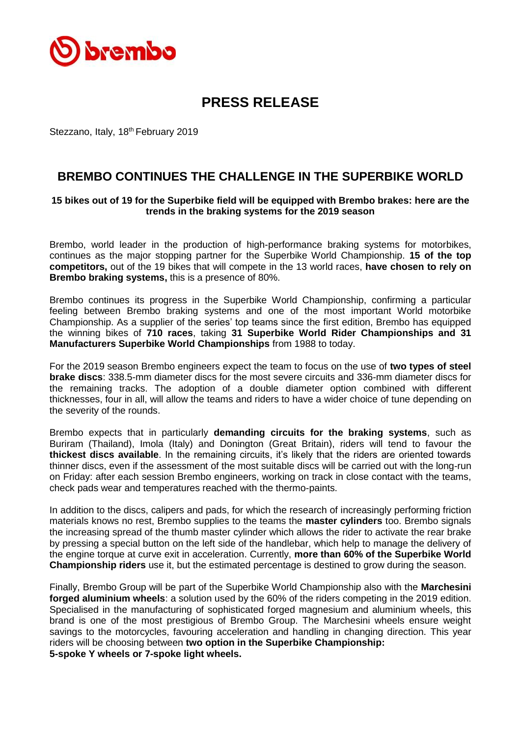

## **PRESS RELEASE**

Stezzano, Italy, 18<sup>th</sup> February 2019

## **BREMBO CONTINUES THE CHALLENGE IN THE SUPERBIKE WORLD**

## **15 bikes out of 19 for the Superbike field will be equipped with Brembo brakes: here are the trends in the braking systems for the 2019 season**

Brembo, world leader in the production of high-performance braking systems for motorbikes, continues as the major stopping partner for the Superbike World Championship. **15 of the top competitors,** out of the 19 bikes that will compete in the 13 world races, **have chosen to rely on Brembo braking systems,** this is a presence of 80%.

Brembo continues its progress in the Superbike World Championship, confirming a particular feeling between Brembo braking systems and one of the most important World motorbike Championship. As a supplier of the series' top teams since the first edition, Brembo has equipped the winning bikes of **710 races**, taking **31 Superbike World Rider Championships and 31 Manufacturers Superbike World Championships** from 1988 to today.

For the 2019 season Brembo engineers expect the team to focus on the use of **two types of steel brake discs**: 338.5-mm diameter discs for the most severe circuits and 336-mm diameter discs for the remaining tracks. The adoption of a double diameter option combined with different thicknesses, four in all, will allow the teams and riders to have a wider choice of tune depending on the severity of the rounds.

Brembo expects that in particularly **demanding circuits for the braking systems**, such as Buriram (Thailand), Imola (Italy) and Donington (Great Britain), riders will tend to favour the **thickest discs available**. In the remaining circuits, it's likely that the riders are oriented towards thinner discs, even if the assessment of the most suitable discs will be carried out with the long-run on Friday: after each session Brembo engineers, working on track in close contact with the teams, check pads wear and temperatures reached with the thermo-paints.

In addition to the discs, calipers and pads, for which the research of increasingly performing friction materials knows no rest, Brembo supplies to the teams the **master cylinders** too. Brembo signals the increasing spread of the thumb master cylinder which allows the rider to activate the rear brake by pressing a special button on the left side of the handlebar, which help to manage the delivery of the engine torque at curve exit in acceleration. Currently, **more than 60% of the Superbike World Championship riders** use it, but the estimated percentage is destined to grow during the season.

Finally, Brembo Group will be part of the Superbike World Championship also with the **Marchesini forged aluminium wheels**: a solution used by the 60% of the riders competing in the 2019 edition. Specialised in the manufacturing of sophisticated forged magnesium and aluminium wheels, this brand is one of the most prestigious of Brembo Group. The Marchesini wheels ensure weight savings to the motorcycles, favouring acceleration and handling in changing direction. This year riders will be choosing between **two option in the Superbike Championship: 5-spoke Y wheels or 7-spoke light wheels.**